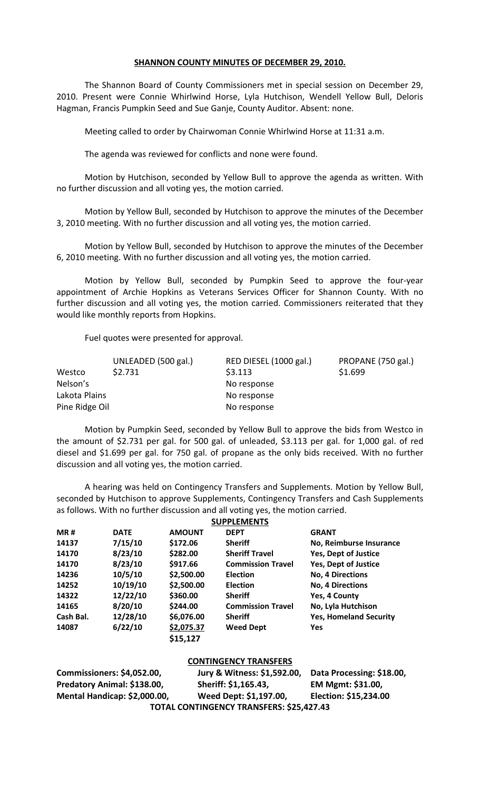## **SHANNON COUNTY MINUTES OF DECEMBER 29, 2010.**

The Shannon Board of County Commissioners met in special session on December 29, 2010. Present were Connie Whirlwind Horse, Lyla Hutchison, Wendell Yellow Bull, Deloris Hagman, Francis Pumpkin Seed and Sue Ganje, County Auditor. Absent: none.

Meeting called to order by Chairwoman Connie Whirlwind Horse at 11:31 a.m.

The agenda was reviewed for conflicts and none were found.

Motion by Hutchison, seconded by Yellow Bull to approve the agenda as written. With no further discussion and all voting yes, the motion carried.

Motion by Yellow Bull, seconded by Hutchison to approve the minutes of the December 3, 2010 meeting. With no further discussion and all voting yes, the motion carried.

Motion by Yellow Bull, seconded by Hutchison to approve the minutes of the December 6, 2010 meeting. With no further discussion and all voting yes, the motion carried.

Motion by Yellow Bull, seconded by Pumpkin Seed to approve the four-year appointment of Archie Hopkins as Veterans Services Officer for Shannon County. With no further discussion and all voting yes, the motion carried. Commissioners reiterated that they would like monthly reports from Hopkins.

Fuel quotes were presented for approval.

|                | UNLEADED (500 gal.) | RED DIESEL (1000 gal.) | PROPANE (750 gal.) |
|----------------|---------------------|------------------------|--------------------|
| Westco         | \$2.731             | \$3.113                | \$1.699            |
| Nelson's       |                     | No response            |                    |
| Lakota Plains  |                     | No response            |                    |
| Pine Ridge Oil |                     | No response            |                    |

Motion by Pumpkin Seed, seconded by Yellow Bull to approve the bids from Westco in the amount of \$2.731 per gal. for 500 gal. of unleaded, \$3.113 per gal. for 1,000 gal. of red diesel and \$1.699 per gal. for 750 gal. of propane as the only bids received. With no further discussion and all voting yes, the motion carried.

A hearing was held on Contingency Transfers and Supplements. Motion by Yellow Bull, seconded by Hutchison to approve Supplements, Contingency Transfers and Cash Supplements as follows. With no further discussion and all voting yes, the motion carried.

|            |             |               | <b>SUPPLEMENTS</b>       |                               |
|------------|-------------|---------------|--------------------------|-------------------------------|
| <b>MR#</b> | <b>DATE</b> | <b>AMOUNT</b> | <b>DEPT</b>              | <b>GRANT</b>                  |
| 14137      | 7/15/10     | \$172.06      | <b>Sheriff</b>           | No, Reimburse Insurance       |
| 14170      | 8/23/10     | \$282.00      | <b>Sheriff Travel</b>    | <b>Yes, Dept of Justice</b>   |
| 14170      | 8/23/10     | \$917.66      | <b>Commission Travel</b> | Yes, Dept of Justice          |
| 14236      | 10/5/10     | \$2,500.00    | <b>Election</b>          | <b>No, 4 Directions</b>       |
| 14252      | 10/19/10    | \$2,500.00    | <b>Election</b>          | <b>No, 4 Directions</b>       |
| 14322      | 12/22/10    | \$360.00      | <b>Sheriff</b>           | Yes, 4 County                 |
| 14165      | 8/20/10     | \$244.00      | <b>Commission Travel</b> | No, Lyla Hutchison            |
| Cash Bal.  | 12/28/10    | \$6,076.00    | <b>Sheriff</b>           | <b>Yes, Homeland Security</b> |
| 14087      | 6/22/10     | \$2,075.37    | <b>Weed Dept</b>         | <b>Yes</b>                    |
|            |             | \$15,127      |                          |                               |

|                              | <b>CONTINGENCY TRANSFERS</b>             |                           |
|------------------------------|------------------------------------------|---------------------------|
| Commissioners: \$4,052.00,   | Jury & Witness: \$1,592.00,              | Data Processing: \$18.00, |
| Predatory Animal: \$138.00,  | Sheriff: \$1,165.43,                     | EM Mgmt: \$31.00,         |
| Mental Handicap: \$2,000.00, | Weed Dept: \$1,197.00,                   | Election: \$15,234.00     |
|                              | TOTAL CONTINGENCY TRANSFERS: \$25,427.43 |                           |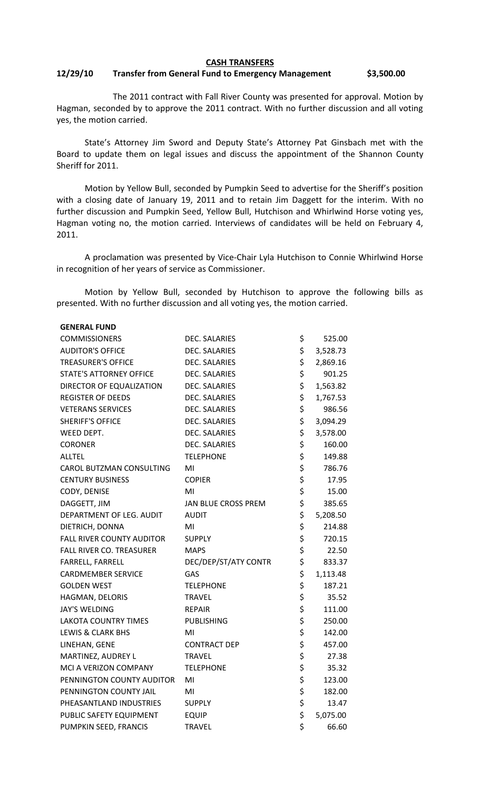## **CASH TRANSFERS**

## **12/29/10 Transfer from General Fund to Emergency Management \$3,500.00**

The 2011 contract with Fall River County was presented for approval. Motion by Hagman, seconded by to approve the 2011 contract. With no further discussion and all voting yes, the motion carried.

State's Attorney Jim Sword and Deputy State's Attorney Pat Ginsbach met with the Board to update them on legal issues and discuss the appointment of the Shannon County Sheriff for 2011.

Motion by Yellow Bull, seconded by Pumpkin Seed to advertise for the Sheriff's position with a closing date of January 19, 2011 and to retain Jim Daggett for the interim. With no further discussion and Pumpkin Seed, Yellow Bull, Hutchison and Whirlwind Horse voting yes, Hagman voting no, the motion carried. Interviews of candidates will be held on February 4, 2011.

A proclamation was presented by Vice-Chair Lyla Hutchison to Connie Whirlwind Horse in recognition of her years of service as Commissioner.

Motion by Yellow Bull, seconded by Hutchison to approve the following bills as presented. With no further discussion and all voting yes, the motion carried.

| <b>GENERAL FUND</b>              |                      |                |
|----------------------------------|----------------------|----------------|
| <b>COMMISSIONERS</b>             | DEC. SALARIES        | \$<br>525.00   |
| <b>AUDITOR'S OFFICE</b>          | <b>DEC. SALARIES</b> | \$<br>3,528.73 |
| <b>TREASURER'S OFFICE</b>        | <b>DEC. SALARIES</b> | \$<br>2,869.16 |
| STATE'S ATTORNEY OFFICE          | <b>DEC. SALARIES</b> | \$<br>901.25   |
| DIRECTOR OF EQUALIZATION         | <b>DEC. SALARIES</b> | \$<br>1,563.82 |
| <b>REGISTER OF DEEDS</b>         | <b>DEC. SALARIES</b> | \$<br>1,767.53 |
| <b>VETERANS SERVICES</b>         | <b>DEC. SALARIES</b> | \$<br>986.56   |
| <b>SHERIFF'S OFFICE</b>          | <b>DEC. SALARIES</b> | \$<br>3,094.29 |
| WEED DEPT.                       | <b>DEC. SALARIES</b> | \$<br>3,578.00 |
| <b>CORONER</b>                   | <b>DEC. SALARIES</b> | \$<br>160.00   |
| <b>ALLTEL</b>                    | <b>TELEPHONE</b>     | \$<br>149.88   |
| CAROL BUTZMAN CONSULTING         | MI                   | \$<br>786.76   |
| <b>CENTURY BUSINESS</b>          | <b>COPIER</b>        | \$<br>17.95    |
| CODY, DENISE                     | MI                   | \$<br>15.00    |
| DAGGETT, JIM                     | JAN BLUE CROSS PREM  | \$<br>385.65   |
| DEPARTMENT OF LEG. AUDIT         | <b>AUDIT</b>         | \$<br>5,208.50 |
| DIETRICH, DONNA                  | MI                   | \$<br>214.88   |
| <b>FALL RIVER COUNTY AUDITOR</b> | <b>SUPPLY</b>        | \$<br>720.15   |
| <b>FALL RIVER CO. TREASURER</b>  | <b>MAPS</b>          | \$<br>22.50    |
| FARRELL, FARRELL                 | DEC/DEP/ST/ATY CONTR | \$<br>833.37   |
| <b>CARDMEMBER SERVICE</b>        | <b>GAS</b>           | \$<br>1,113.48 |
| <b>GOLDEN WEST</b>               | <b>TELEPHONE</b>     | \$<br>187.21   |
| HAGMAN, DELORIS                  | <b>TRAVEL</b>        | \$<br>35.52    |
| <b>JAY'S WELDING</b>             | <b>REPAIR</b>        | \$<br>111.00   |
| LAKOTA COUNTRY TIMES             | <b>PUBLISHING</b>    | \$<br>250.00   |
| <b>LEWIS &amp; CLARK BHS</b>     | MI                   | \$<br>142.00   |
| LINEHAN, GENE                    | <b>CONTRACT DEP</b>  | \$<br>457.00   |
| MARTINEZ, AUDREY L               | <b>TRAVEL</b>        | \$<br>27.38    |
| MCI A VERIZON COMPANY            | <b>TELEPHONE</b>     | \$<br>35.32    |
| PENNINGTON COUNTY AUDITOR        | MI                   | \$<br>123.00   |
| PENNINGTON COUNTY JAIL           | MI                   | \$<br>182.00   |
| PHEASANTLAND INDUSTRIES          | <b>SUPPLY</b>        | \$<br>13.47    |
| PUBLIC SAFETY EQUIPMENT          | <b>EQUIP</b>         | \$<br>5,075.00 |
| PUMPKIN SEED, FRANCIS            | <b>TRAVEL</b>        | \$<br>66.60    |